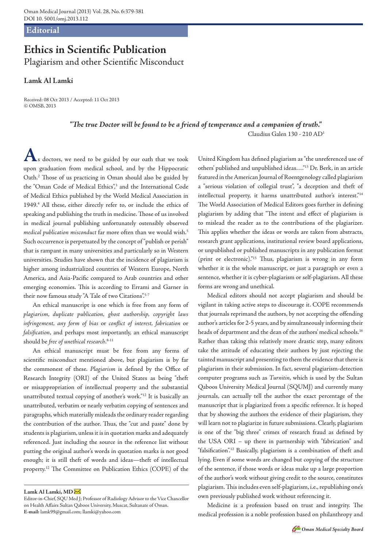## **Editorial**

# **Ethics in Scientific Publication** Plagiarism and other Scientific Misconduct

## **Lamk Al Lamki**

Received: 08 Oct 2013 / Accepted: 11 Oct 2013 © OMSB, 2013

#### *"The true Doctor will be found to be a friend of temperance and a companion of truth."*

Claudius Galen 130 - 210 AD1

**A**s doctors, we need to be guided by our oath that we took upon graduation from medical school, and by the Hippocratic Oath.2 Those of us practicing in Oman should also be guided by the "Oman Code of Medical Ethics",<sup>3</sup> and the International Code of Medical Ethics published by the World Medical Association in 1949.4 All these, either directly refer to, or include the ethics of speaking and publishing the truth in medicine. Those of us involved in medical journal publishing unfortunately ostensibly observed *medical publication misconduct* far more often than we would wish.5 Such occurrence is perpetuated by the concept of "publish or perish" that is rampant in many universities and particularly so in Western universities. Studies have shown that the incidence of plagiarism is higher among industrialized countries of Western Europe, North America, and Asia-Pacific compared to Arab countries and other emerging economies. This is according to Errami and Garner in their now famous study "A Tale of two Citations".5-7

An ethical manuscript is one which is free from any form of *plagiarism*, *duplicate publication, ghost authorship, copyright laws infringement, any form of bias* or *conflict of interest, fabrication* or *falsification*, and perhaps most importantly, an ethical manuscript should be *free of unethical research*. 8-11

An ethical manuscript must be free from any forms of scientific misconduct mentioned above, but plagiarism is by far the commonest of these. *Plagiarism* is defined by the Office of Research Integrity (ORI) of the United States as being "theft or misappropriation of intellectual property and the substantial unattributed textual copying of another's work."12 It is basically an unattributed, verbatim or nearly verbatim copying of sentences and paragraphs, which materially misleads the ordinary reader regarding the contribution of the author. Thus, the "cut and paste" done by students is plagiarism, unless it is in quotation marks and adequately referenced. Just including the source in the reference list without putting the original author's words in quotation marks is not good enough; it is still theft of words and ideas—theft of intellectual property.12 The Committee on Publication Ethics (COPE) of the

**Lamk Al Lamki, MD** 

United Kingdom has defined plagiarism as "the unreferenced use of others' published and unpublished ideas…."13 Dr. Berk, in an article featured in the American Journal of Roentgenology called plagiarism a "serious violation of collegial trust", "a deception and theft of intellectual property, it harms unattributed author's interest."14 The World Association of Medical Editors goes further in defining plagiarism by adding that "The intent and effect of plagiarism is to mislead the reader as to the contributions of the plagiarizer. This applies whether the ideas or words are taken from abstracts, research grant applications, institutional review board applications, or unpublished or published manuscripts in any publication format (print or electronic)."15 Thus, plagiarism is wrong in any form whether it is the whole manuscript, or just a paragraph or even a sentence, whether it is cyber-plagiarism or self-plagiarism. All these forms are wrong and unethical.

Medical editors should not accept plagiarism and should be vigilant in taking active steps to discourage it. COPE recommends that journals reprimand the authors, by not accepting the offending author's articles for 2-5 years, and by simultaneously informing their heads of department and the dean of the authors' medical schools.<sup>16</sup> Rather than taking this relatively more drastic step, many editors take the attitude of educating their authors by just rejecting the tainted manuscript and presenting to them the evidence that there is plagiarism in their submission. In fact, several plagiarism-detection computer programs such as *Turnitin*, which is used by the Sultan Qaboos University Medical Journal (SQUMJ) and currently many journals, can actually tell the author the exact percentage of the manuscript that is plagiarized from a specific reference. It is hoped that by showing the authors the evidence of their plagiarism, they will learn not to plagiarize in future submissions. Clearly, plagiarism is one of the "big three" crimes of research fraud as defined by the USA ORI – up there in partnership with "fabrication" and "falsification".<sup>12</sup> Basically, plagiarism is a combination of theft and lying. Even if some words are changed but copying of the structure of the sentence, if those words or ideas make up a large proportion of the author's work without giving credit to the source, constitutes plagiarism. This includes even self-plagiarism, i.e., republishing one's own previously published work without referencing it.

Medicine is a profession based on trust and integrity. The medical profession is a noble profession based on philanthropy and

Editor-in-Chief, SQU Med J; Professor of Radiology Advisor to the Vice Chancellor on Health Affairs Sultan Qaboos University, Muscat, Sultanate of Oman. **E-mail:** lamk99@gmail.com; llamki@yahoo.com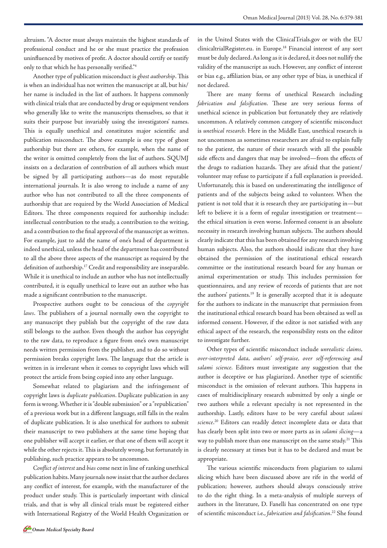altruism. "A doctor must always maintain the highest standards of professional conduct and he or she must practice the profession uninfluenced by motives of profit. A doctor should certify or testify only to that which he has personally verified."4

Another type of publication misconduct is *ghost authorship*. This is when an individual has not written the manuscript at all, but his/ her name is included in the list of authors. It happens commonly with clinical trials that are conducted by drug or equipment vendors who generally like to write the manuscripts themselves, so that it suits their purpose but invariably using the investigators' names. This is equally unethical and constitutes major scientific and publication misconduct. The above example is one type of ghost authorship but there are others, for example, when the name of the writer is omitted completely from the list of authors. SQUMJ insists on a declaration of contribution of all authors which must be signed by all participating authors—as do most reputable international journals. It is also wrong to include a name of any author who has not contributed to all the three components of authorship that are required by the World Association of Medical Editors. The three components required for authorship include: intellectual contribution to the study, a contribution to the writing, and a contribution to the final approval of the manuscript as written. For example, just to add the name of one's head of department is indeed unethical, unless the head of the department has contributed to all the above three aspects of the manuscript as required by the definition of authorship.17 Credit and responsibility are inseparable. While it is unethical to include an author who has not intellectually contributed, it is equally unethical to leave out an author who has made a significant contribution to the manuscript.

Prospective authors ought to be conscious of the *copyright laws*. The publishers of a journal normally own the copyright to any manuscript they publish but the copyright of the raw data still belongs to the author. Even though the author has copyright to the raw data, to reproduce a figure from one's own manuscript needs written permission from the publisher, and to do so without permission breaks copyright laws. The language that the article is written in is irrelevant when it comes to copyright laws which will protect the article from being copied into any other language.

Somewhat related to plagiarism and the infringement of copyright laws is *duplicate publication*. Duplicate publication in any form is wrong. Whether it is "double submission" or a "republication" of a previous work but in a different language, still falls in the realm of duplicate publication. It is also unethical for authors to submit their manuscript to two publishers at the same time hoping that one publisher will accept it earlier, or that one of them will accept it while the other rejects it. This is absolutely wrong, but fortunately in publishing, such practice appears to be uncommon.

*Conflict of interest* and *bias* come next in line of ranking unethical publication habits. Many journals now insist that the author declares any conflict of interest, for example, with the manufacturer of the product under study. This is particularly important with clinical trials, and that is why all clinical trials must be registered either with International Registry of the World Health Organization or in the United States with the ClinicalTrials.gov or with the EU clinicaltrialRegister.eu. in Europe.18 Financial interest of any sort must be duly declared. As long as it is declared, it does not nullify the validity of the manuscript as such. However, any conflict of interest or bias e.g., affiliation bias, or any other type of bias, is unethical if not declared.

There are many forms of unethical Research including *fabrication and falsification.* These are very serious forms of unethical science in publication but fortunately they are relatively uncommon. A relatively common category of scientific misconduct is *unethical research.* Here in the Middle East, unethical research is not uncommon as sometimes researchers are afraid to explain fully to the patient, the nature of their research with all the possible side effects and dangers that may be involved—from the effects of the drugs to radiation hazards. They are afraid that the patient/ volunteer may refuse to participate if a full explanation is provided. Unfortunately, this is based on underestimating the intelligence of patients and of the subjects being asked to volunteer. When the patient is not told that it is research they are participating in—but left to believe it is a form of regular investigation or treatment the ethical situation is even worse. Informed consent is an absolute necessity in research involving human subjects. The authors should clearly indicate that this has been obtained for any research involving human subjects. Also, the authors should indicate that they have obtained the permission of the institutional ethical research committee or the institutional research board for any human or animal experimentation or study. This includes permission for questionnaires, and any review of records of patients that are not the authors' patients.<sup>19</sup> It is generally accepted that it is adequate for the authors to indicate in the manuscript that permission from the institutional ethical research board has been obtained as well as informed consent. However, if the editor is not satisfied with any ethical aspect of the research, the responsibility rests on the editor to investigate further.

Other types of scientific misconduct include *unrealistic claims, over-interpreted data, authors' self-praise, over self-referencing and salami science.* Editors must investigate any suggestion that the author is deceptive or has plagiarized. Another type of scientific misconduct is the omission of relevant authors. This happens in cases of multidisciplinary research submitted by only a single or two authors while a relevant specialty is not represented in the authorship. Lastly, editors have to be very careful about *salami science*. 20 Editors can readily detect incomplete data or data that has clearly been split into two or more parts as in *salami slicing*—a way to publish more than one manuscript on the same study.<sup>21</sup> This is clearly necessary at times but it has to be declared and must be appropriate.

The various scientific misconducts from plagiarism to salami slicing which have been discussed above are rife in the world of publication; however, authors should always consciously strive to do the right thing. In a meta-analysis of multiple surveys of authors in the literature, D. Fanelli has concentrated on one type of scientific misconduct i.e., *fabrication and falsification*. 22 She found